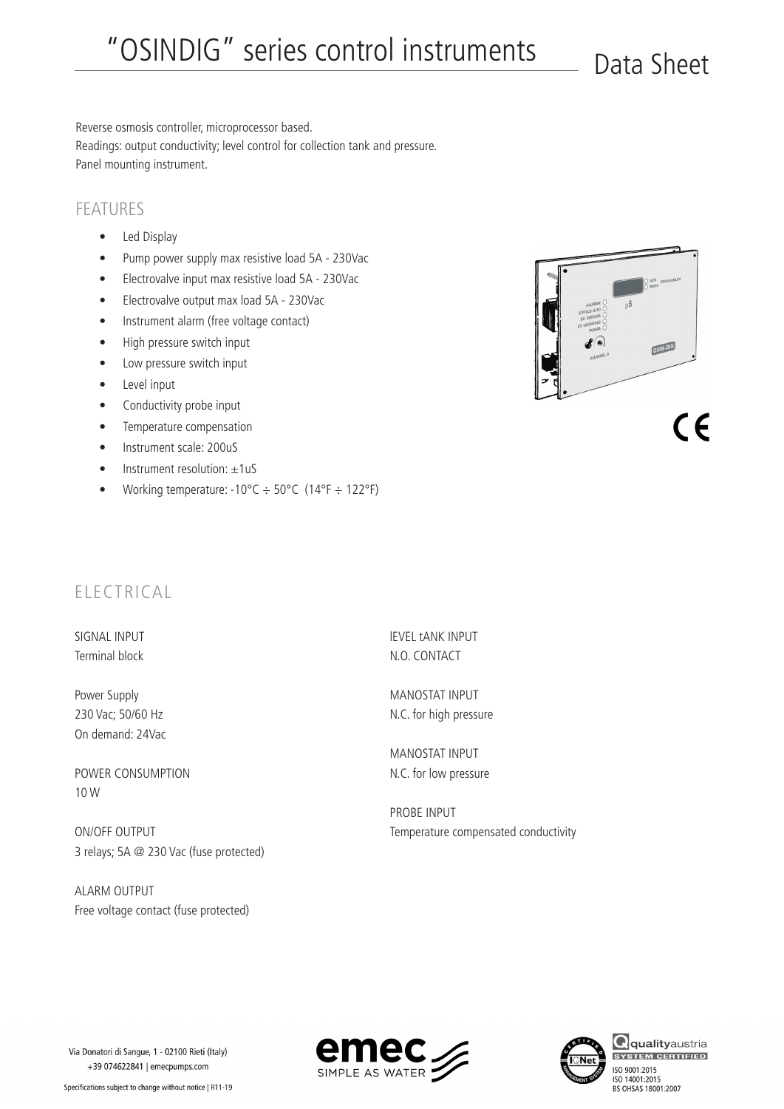Reverse osmosis controller, microprocessor based. Readings: output conductivity; level control for collection tank and pressure. Panel mounting instrument.

## FEATURES

- Led Display
- • Pump power supply max resistive load 5A 230Vac
- • Electrovalve input max resistive load 5A 230Vac
- • Electrovalve output max load 5A 230Vac
- • Instrument alarm (free voltage contact)
- High pressure switch input
- Low pressure switch input
- • Level input
- Conductivity probe input
- • Temperature compensation
- Instrument scale: 200uS
- $\bullet$  Instrument resolution:  $\pm 1uS$
- Working temperature:  $-10^{\circ}C \div 50^{\circ}C$  (14°F  $\div$  122°F)



 $\epsilon$ 

## ELECTRICAL

SIGNAL INPUT Terminal block

Power Supply 230 Vac; 50/60 Hz On demand: 24Vac

POWER CONSUMPTION 10 W

ON/OFF OUTPUT 3 relays; 5A @ 230 Vac (fuse protected)

ALARM OUTPUT Free voltage contact (fuse protected) lEVEL tANK INPUT N.O. CONTACT

MANOSTAT INPUT N.C. for high pressure

MANOSTAT INPUT N.C. for low pressure

PROBE INPUT Temperature compensated conductivity





**Q**qualityaustria ISO 9001:2015 ISO 14001:2015<br>BS OHSAS 18001:2007